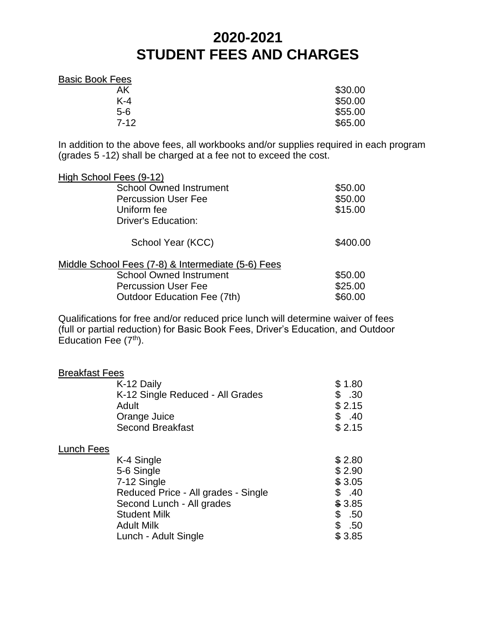## **2020-2021 STUDENT FEES AND CHARGES**

| <b>Basic Book Fees</b> |         |
|------------------------|---------|
| AK                     | \$30.00 |
| $K-4$                  | \$50.00 |
| $5-6$                  | \$55.00 |
| $7 - 12$               | \$65.00 |

In addition to the above fees, all workbooks and/or supplies required in each program (grades 5 -12) shall be charged at a fee not to exceed the cost.

| High School Fees (9-12)                            |          |
|----------------------------------------------------|----------|
| <b>School Owned Instrument</b>                     | \$50.00  |
| <b>Percussion User Fee</b>                         | \$50.00  |
| Uniform fee                                        | \$15.00  |
| Driver's Education:                                |          |
| School Year (KCC)                                  | \$400.00 |
| Middle School Fees (7-8) & Intermediate (5-6) Fees |          |
| <b>School Owned Instrument</b>                     | \$50.00  |
| <b>Percussion User Fee</b>                         | \$25.00  |
| <b>Outdoor Education Fee (7th)</b>                 | \$60.00  |

Qualifications for free and/or reduced price lunch will determine waiver of fees (full or partial reduction) for Basic Book Fees, Driver's Education, and Outdoor Education Fee  $(7<sup>th</sup>)$ .

| <b>Breakfast Fees</b> | K-12 Daily<br>K-12 Single Reduced - All Grades<br>Adult<br>Orange Juice                                                                                                         | \$1.80<br>\$<br>.30<br>\$2.15<br>\$.40                                                |
|-----------------------|---------------------------------------------------------------------------------------------------------------------------------------------------------------------------------|---------------------------------------------------------------------------------------|
|                       | <b>Second Breakfast</b>                                                                                                                                                         | \$2.15                                                                                |
| Lunch Fees            |                                                                                                                                                                                 |                                                                                       |
|                       | K-4 Single<br>5-6 Single<br>7-12 Single<br>Reduced Price - All grades - Single<br>Second Lunch - All grades<br><b>Student Milk</b><br><b>Adult Milk</b><br>Lunch - Adult Single | \$2.80<br>\$2.90<br>\$3.05<br>.40<br>\$<br>\$3.85<br>\$<br>.50<br>\$<br>.50<br>\$3.85 |